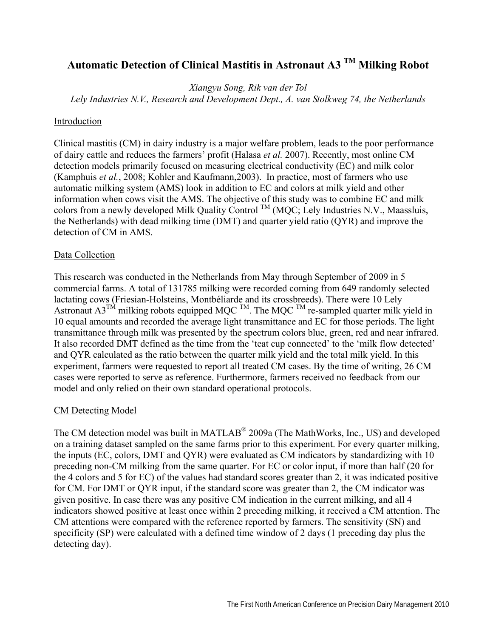# **Automatic Detection of Clinical Mastitis in Astronaut A3 TM Milking Robot**

*Xiangyu Song, Rik van der Tol* 

*Lely Industries N.V., Research and Development Dept., A. van Stolkweg 74, the Netherlands* 

#### Introduction

Clinical mastitis (CM) in dairy industry is a major welfare problem, leads to the poor performance of dairy cattle and reduces the farmers' profit (Halasa *et al.* 2007). Recently, most online CM detection models primarily focused on measuring electrical conductivity (EC) and milk color (Kamphuis *et al.*, 2008; Kohler and Kaufmann,2003). In practice, most of farmers who use automatic milking system (AMS) look in addition to EC and colors at milk yield and other information when cows visit the AMS. The objective of this study was to combine EC and milk colors from a newly developed Milk Quality Control  $^{TM}$  (MQC; Lely Industries N.V., Maassluis, the Netherlands) with dead milking time (DMT) and quarter yield ratio (QYR) and improve the detection of CM in AMS.

## Data Collection

This research was conducted in the Netherlands from May through September of 2009 in 5 commercial farms. A total of 131785 milking were recorded coming from 649 randomly selected lactating cows (Friesian-Holsteins, Montbéliarde and its crossbreeds). There were 10 Lely Astronaut A3<sup>TM</sup> milking robots equipped MQC <sup>TM</sup>. The MQC <sup>TM</sup> re-sampled quarter milk yield in 10 equal amounts and recorded the average light transmittance and EC for those periods. The light transmittance through milk was presented by the spectrum colors blue, green, red and near infrared. It also recorded DMT defined as the time from the 'teat cup connected' to the 'milk flow detected' and QYR calculated as the ratio between the quarter milk yield and the total milk yield. In this experiment, farmers were requested to report all treated CM cases. By the time of writing, 26 CM cases were reported to serve as reference. Furthermore, farmers received no feedback from our model and only relied on their own standard operational protocols.

## CM Detecting Model

The CM detection model was built in MATLAB® 2009a (The MathWorks, Inc., US) and developed on a training dataset sampled on the same farms prior to this experiment. For every quarter milking, the inputs (EC, colors, DMT and QYR) were evaluated as CM indicators by standardizing with 10 preceding non-CM milking from the same quarter. For EC or color input, if more than half (20 for the 4 colors and 5 for EC) of the values had standard scores greater than 2, it was indicated positive for CM. For DMT or QYR input, if the standard score was greater than 2, the CM indicator was given positive. In case there was any positive CM indication in the current milking, and all 4 indicators showed positive at least once within 2 preceding milking, it received a CM attention. The CM attentions were compared with the reference reported by farmers. The sensitivity (SN) and specificity (SP) were calculated with a defined time window of 2 days (1 preceding day plus the detecting day).